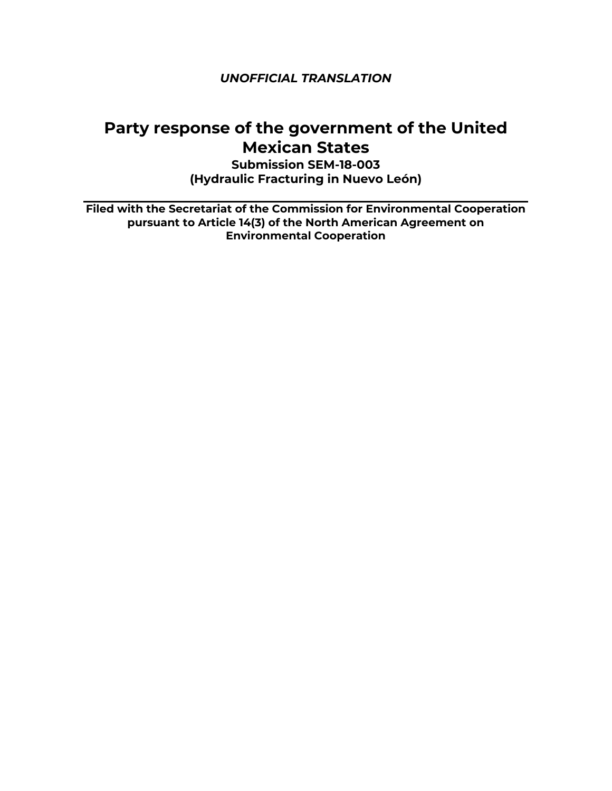# **Party response of the government of the United Mexican States**

**Submission SEM-18-003 (Hydraulic Fracturing in Nuevo León)**

**Filed with the Secretariat of the Commission for Environmental Cooperation pursuant to Article 14(3) of the North American Agreement on Environmental Cooperation**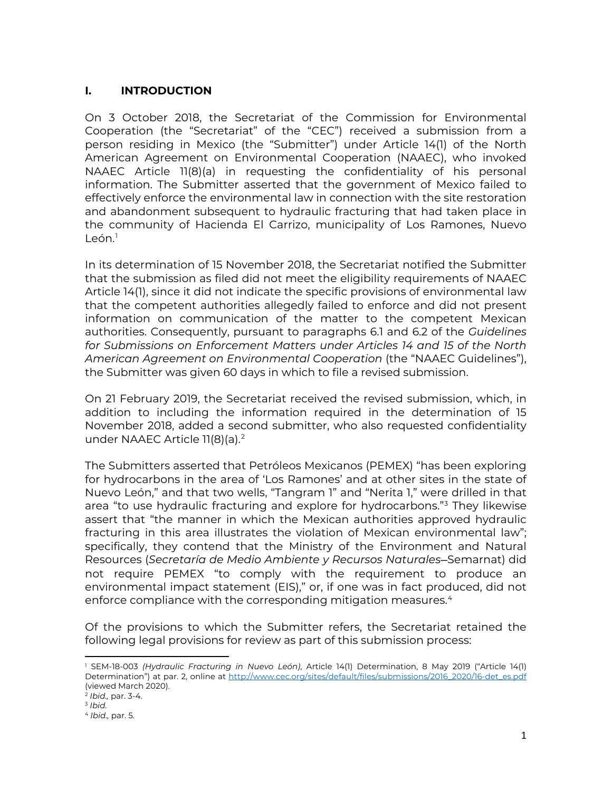# **I. INTRODUCTION**

On 3 October 2018, the Secretariat of the Commission for Environmental Cooperation (the "Secretariat" of the "CEC") received a submission from a person residing in Mexico (the "Submitter") under Article 14(1) of the North American Agreement on Environmental Cooperation (NAAEC), who invoked NAAEC Article 11(8)(a) in requesting the confidentiality of his personal information. The Submitter asserted that the government of Mexico failed to effectively enforce the environmental law in connection with the site restoration and abandonment subsequent to hydraulic fracturing that had taken place in the community of Hacienda El Carrizo, municipality of Los Ramones, Nuevo  $León<sup>1</sup>$  $León<sup>1</sup>$  $León<sup>1</sup>$ 

In its determination of 15 November 2018, the Secretariat notified the Submitter that the submission as filed did not meet the eligibility requirements of NAAEC Article 14(1), since it did not indicate the specific provisions of environmental law that the competent authorities allegedly failed to enforce and did not present information on communication of the matter to the competent Mexican authorities. Consequently, pursuant to paragraphs 6.1 and 6.2 of the *Guidelines for Submissions on Enforcement Matters under Articles 14 and 15 of the North American Agreement on Environmental Cooperation* (the "NAAEC Guidelines"), the Submitter was given 60 days in which to file a revised submission.

On 21 February 2019, the Secretariat received the revised submission, which, in addition to including the information required in the determination of 15 November 2018, added a second submitter, who also requested confidentiality under NAAEC Article 11(8)(a).<sup>[2](#page-1-1)</sup>

The Submitters asserted that Petróleos Mexicanos (PEMEX) "has been exploring for hydrocarbons in the area of 'Los Ramones' and at other sites in the state of Nuevo León," and that two wells, "Tangram 1" and "Nerita 1," were drilled in that area "to use hydraulic fracturing and explore for hydrocarbons."<sup>[3](#page-1-2)</sup> They likewise assert that "the manner in which the Mexican authorities approved hydraulic fracturing in this area illustrates the violation of Mexican environmental law"; specifically, they contend that the Ministry of the Environment and Natural Resources (*Secretaría de Medio Ambiente y Recursos Naturales—*Semarnat) did not require PEMEX "to comply with the requirement to produce an environmental impact statement (EIS)," or, if one was in fact produced, did not enforce compliance with the corresponding mitigation measures.<sup>[4](#page-1-3)</sup>

Of the provisions to which the Submitter refers, the Secretariat retained the following legal provisions for review as part of this submission process:

<span id="page-1-0"></span><sup>1</sup> SEM-18-003 *(Hydraulic Fracturing in Nuevo León)*, Article 14(1) Determination, 8 May 2019 ("Article 14(1) Determination") at par. 2, online at [http://www.cec.org/sites/default/files/submissions/2016\\_2020/16-det\\_es.pdf](http://www.cec.org/sites/default/files/submissions/2016_2020/16-det_es.pdf) (viewed March 2020).

<span id="page-1-1"></span><sup>2</sup> *Ibid.,* par. 3-4.

<span id="page-1-2"></span><sup>3</sup> *Ibid.*

<span id="page-1-3"></span><sup>4</sup> *Ibid.,* par. 5.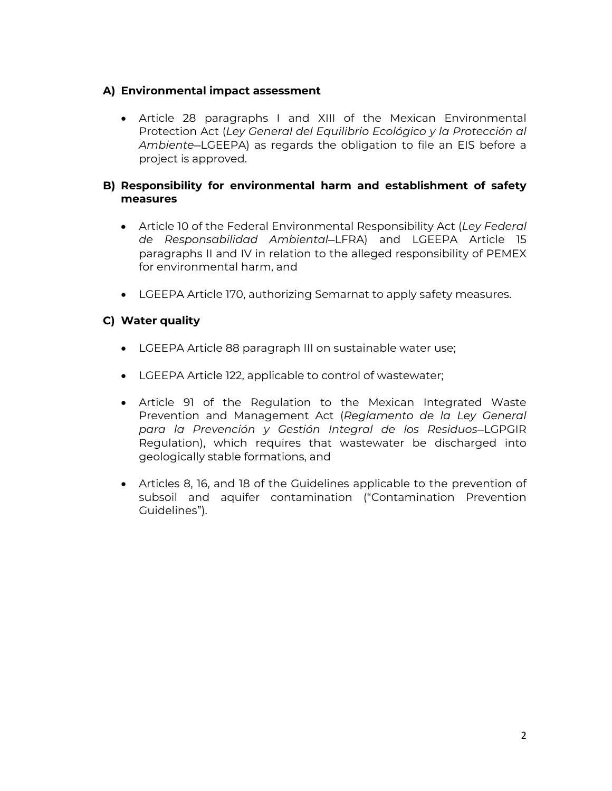# **A) Environmental impact assessment**

• Article 28 paragraphs I and XIII of the Mexican Environmental Protection Act (*Ley General del Equilibrio Ecológico y la Protección al Ambiente*—LGEEPA) as regards the obligation to file an EIS before a project is approved.

# **B) Responsibility for environmental harm and establishment of safety measures**

- Article 10 of the Federal Environmental Responsibility Act (*Ley Federal de Responsabilidad Ambiental—*LFRA) and LGEEPA Article 15 paragraphs II and IV in relation to the alleged responsibility of PEMEX for environmental harm, and
- LGEEPA Article 170, authorizing Semarnat to apply safety measures.

# **C) Water quality**

- LGEEPA Article 88 paragraph III on sustainable water use;
- LGEEPA Article 122, applicable to control of wastewater;
- Article 91 of the Regulation to the Mexican Integrated Waste Prevention and Management Act (*Reglamento de la Ley General para la Prevención y Gestión Integral de los Residuos*—LGPGIR Regulation), which requires that wastewater be discharged into geologically stable formations, and
- Articles 8, 16, and 18 of the Guidelines applicable to the prevention of subsoil and aquifer contamination ("Contamination Prevention Guidelines").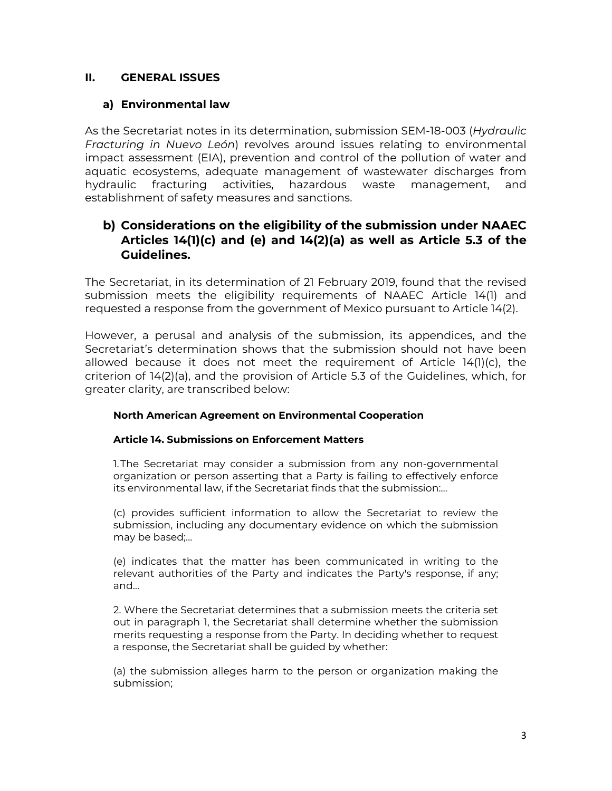# **II. GENERAL ISSUES**

## **a) Environmental law**

As the Secretariat notes in its determination, submission SEM-18-003 (*Hydraulic Fracturing in Nuevo León*) revolves around issues relating to environmental impact assessment (EIA), prevention and control of the pollution of water and aquatic ecosystems, adequate management of wastewater discharges from hydraulic fracturing activities, hazardous waste management, and establishment of safety measures and sanctions.

# **b) Considerations on the eligibility of the submission under NAAEC Articles 14(1)(c) and (e) and 14(2)(a) as well as Article 5.3 of the Guidelines.**

The Secretariat, in its determination of 21 February 2019, found that the revised submission meets the eligibility requirements of NAAEC Article 14(1) and requested a response from the government of Mexico pursuant to Article 14(2).

However, a perusal and analysis of the submission, its appendices, and the Secretariat's determination shows that the submission should not have been allowed because it does not meet the requirement of Article 14(1)(c), the criterion of 14(2)(a), and the provision of Article 5.3 of the Guidelines, which, for greater clarity, are transcribed below:

#### **North American Agreement on Environmental Cooperation**

#### **Article 14. Submissions on Enforcement Matters**

1.The Secretariat may consider a submission from any non-governmental organization or person asserting that a Party is failing to effectively enforce its environmental law, if the Secretariat finds that the submission:…

(c) provides sufficient information to allow the Secretariat to review the submission, including any documentary evidence on which the submission may be based;…

(e) indicates that the matter has been communicated in writing to the relevant authorities of the Party and indicates the Party's response, if any; and…

2. Where the Secretariat determines that a submission meets the criteria set out in paragraph 1, the Secretariat shall determine whether the submission merits requesting a response from the Party. In deciding whether to request a response, the Secretariat shall be guided by whether:

(a) the submission alleges harm to the person or organization making the submission;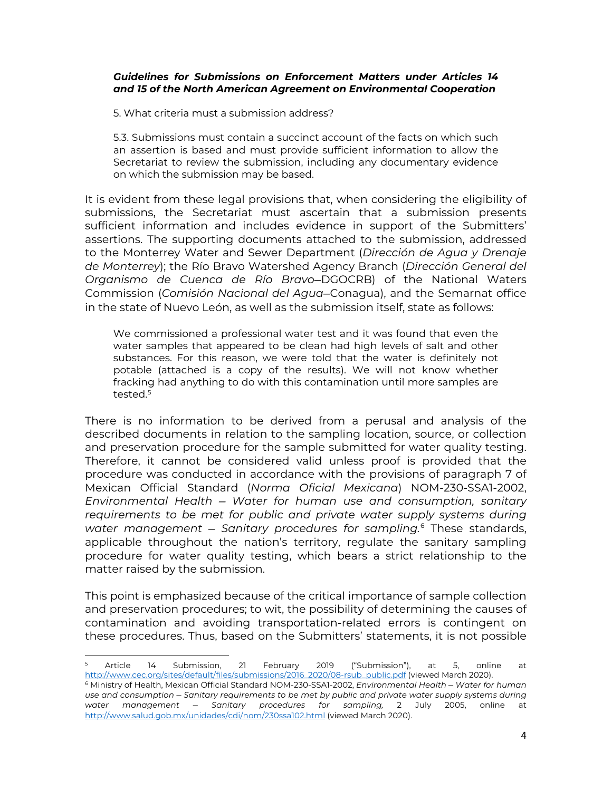#### *Guidelines for Submissions on Enforcement Matters under Articles 14 and 15 of the North American Agreement on Environmental Cooperation*

5. What criteria must a submission address?

5.3. Submissions must contain a succinct account of the facts on which such an assertion is based and must provide sufficient information to allow the Secretariat to review the submission, including any documentary evidence on which the submission may be based.

It is evident from these legal provisions that, when considering the eligibility of submissions, the Secretariat must ascertain that a submission presents sufficient information and includes evidence in support of the Submitters' assertions. The supporting documents attached to the submission, addressed to the Monterrey Water and Sewer Department (*Dirección de Agua y Drenaje de Monterrey*); the Río Bravo Watershed Agency Branch (*Dirección General del Organismo de Cuenca de Río Bravo*—DGOCRB) of the National Waters Commission (*Comisión Nacional del Agua*—Conagua), and the Semarnat office in the state of Nuevo León, as well as the submission itself, state as follows:

We commissioned a professional water test and it was found that even the water samples that appeared to be clean had high levels of salt and other substances. For this reason, we were told that the water is definitely not potable (attached is a copy of the results). We will not know whether fracking had anything to do with this contamination until more samples are tested<sup>[5](#page-4-0)</sup>

There is no information to be derived from a perusal and analysis of the described documents in relation to the sampling location, source, or collection and preservation procedure for the sample submitted for water quality testing. Therefore, it cannot be considered valid unless proof is provided that the procedure was conducted in accordance with the provisions of paragraph 7 of Mexican Official Standard (*Norma Oficial Mexicana*) NOM-230-SSA1-2002, *Environmental Health — Water for human use and consumption, sanitary requirements to be met for public and private water supply systems during water management — Sanitary procedures for sampling.*[6](#page-4-1) These standards, applicable throughout the nation's territory, regulate the sanitary sampling procedure for water quality testing, which bears a strict relationship to the matter raised by the submission.

This point is emphasized because of the critical importance of sample collection and preservation procedures; to wit, the possibility of determining the causes of contamination and avoiding transportation-related errors is contingent on these procedures. Thus, based on the Submitters' statements, it is not possible

<span id="page-4-1"></span><span id="page-4-0"></span><sup>5</sup> Article 14 Submission, 21 February 2019 ("Submission"), at 5, online at [http://www.cec.org/sites/default/files/submissions/2016\\_2020/08-rsub\\_public.pdf](http://www.cec.org/sites/default/files/submissions/2016_2020/08-rsub_public.pdf) (viewed March 2020). <sup>6</sup> Ministry of Health, Mexican Official Standard NOM-230-SSA1-2002, *Environmental Health — Water for human use and consumption — Sanitary requirements to be met by public and private water supply systems during water management — Sanitary procedures for sampling,* 2 July 2005, online at <http://www.salud.gob.mx/unidades/cdi/nom/230ssa102.html> (viewed March 2020).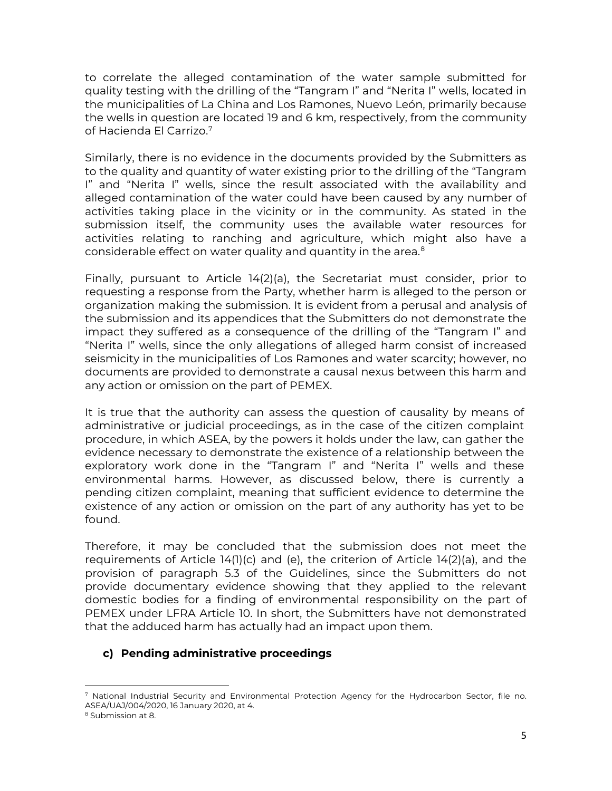to correlate the alleged contamination of the water sample submitted for quality testing with the drilling of the "Tangram I" and "Nerita I" wells, located in the municipalities of La China and Los Ramones, Nuevo León, primarily because the wells in question are located 19 and 6 km, respectively, from the community of Hacienda El Carrizo.[7](#page-5-0)

Similarly, there is no evidence in the documents provided by the Submitters as to the quality and quantity of water existing prior to the drilling of the "Tangram I" and "Nerita I" wells, since the result associated with the availability and alleged contamination of the water could have been caused by any number of activities taking place in the vicinity or in the community. As stated in the submission itself, the community uses the available water resources for activities relating to ranching and agriculture, which might also have a considerable effect on water quality and quantity in the area.<sup>[8](#page-5-1)</sup>

Finally, pursuant to Article 14(2)(a), the Secretariat must consider, prior to requesting a response from the Party, whether harm is alleged to the person or organization making the submission. It is evident from a perusal and analysis of the submission and its appendices that the Submitters do not demonstrate the impact they suffered as a consequence of the drilling of the "Tangram I" and "Nerita I" wells, since the only allegations of alleged harm consist of increased seismicity in the municipalities of Los Ramones and water scarcity; however, no documents are provided to demonstrate a causal nexus between this harm and any action or omission on the part of PEMEX.

It is true that the authority can assess the question of causality by means of administrative or judicial proceedings, as in the case of the citizen complaint procedure, in which ASEA, by the powers it holds under the law, can gather the evidence necessary to demonstrate the existence of a relationship between the exploratory work done in the "Tangram I" and "Nerita I" wells and these environmental harms. However, as discussed below, there is currently a pending citizen complaint, meaning that sufficient evidence to determine the existence of any action or omission on the part of any authority has yet to be found.

Therefore, it may be concluded that the submission does not meet the requirements of Article 14(1)(c) and (e), the criterion of Article 14(2)(a), and the provision of paragraph 5.3 of the Guidelines, since the Submitters do not provide documentary evidence showing that they applied to the relevant domestic bodies for a finding of environmental responsibility on the part of PEMEX under LFRA Article 10. In short, the Submitters have not demonstrated that the adduced harm has actually had an impact upon them.

# **c) Pending administrative proceedings**

<span id="page-5-0"></span><sup>7</sup> National Industrial Security and Environmental Protection Agency for the Hydrocarbon Sector, file no. ASEA/UAJ/004/2020, 16 January 2020, at 4.

<span id="page-5-1"></span><sup>8</sup> Submission at 8.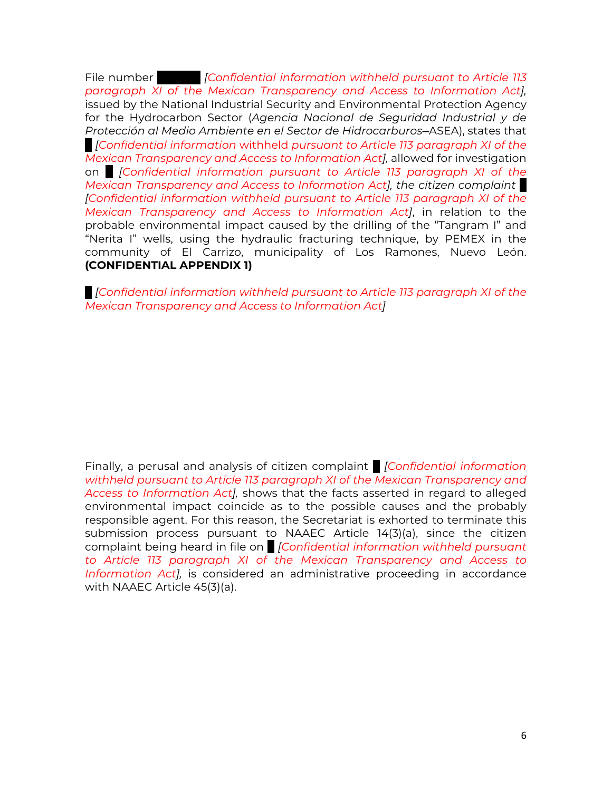File number *IConfidential information withheld pursuant to Article 113 paragraph XI of the Mexican Transparency and Access to Information Act],* issued by the National Industrial Security and Environmental Protection Agency for the Hydrocarbon Sector (*Agencia Nacional de Seguridad Industrial y de Protección al Medio Ambiente en el Sector de Hidrocarburos*—ASEA), states that ... *[Confidential information* withheld *pursuant to Article 113 paragraph XI of the Mexican Transparency and Access to Information Act],* allowed for investigation on *[Confidential information pursuant to Article 113 paragraph XI of the Mexican Transparency and Access to Information Act], the citizen complaint ... [Confidential information withheld pursuant to Article 113 paragraph XI of the Mexican Transparency and Access to Information Act]*, in relation to the probable environmental impact caused by the drilling of the "Tangram I" and "Nerita I" wells, using the hydraulic fracturing technique, by PEMEX in the community of El Carrizo, municipality of Los Ramones, Nuevo León. **(CONFIDENTIAL APPENDIX 1)**

*... [Confidential information withheld pursuant to Article 113 paragraph XI of the Mexican Transparency and Access to Information Act]*

Finally, a perusal and analysis of citizen complaint *... [Confidential information withheld pursuant to Article 113 paragraph XI of the Mexican Transparency and Access to Information Act],* shows that the facts asserted in regard to alleged environmental impact coincide as to the possible causes and the probably responsible agent. For this reason, the Secretariat is exhorted to terminate this submission process pursuant to NAAEC Article 14(3)(a), since the citizen complaint being heard in file on *... [Confidential information withheld pursuant to Article 113 paragraph XI of the Mexican Transparency and Access to Information Act],* is considered an administrative proceeding in accordance with NAAEC Article 45(3)(a).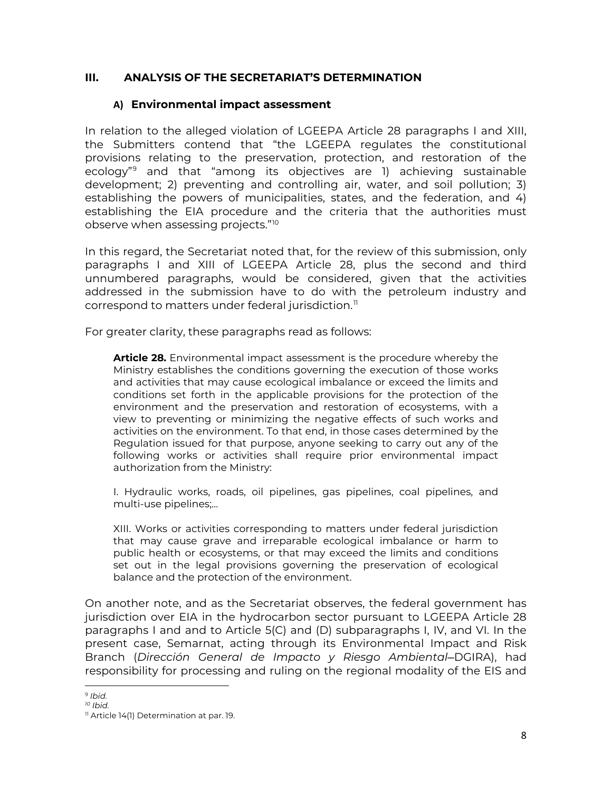### **III. ANALYSIS OF THE SECRETARIAT'S DETERMINATION**

#### **A) Environmental impact assessment**

In relation to the alleged violation of LGEEPA Article 28 paragraphs I and XIII, the Submitters contend that "the LGEEPA regulates the constitutional provisions relating to the preservation, protection, and restoration of the ecology"[9](#page-7-0) and that "among its objectives are 1) achieving sustainable development; 2) preventing and controlling air, water, and soil pollution; 3) establishing the powers of municipalities, states, and the federation, and 4) establishing the EIA procedure and the criteria that the authorities must observe when assessing projects."[10](#page-7-1)

In this regard, the Secretariat noted that, for the review of this submission, only paragraphs I and XIII of LGEEPA Article 28, plus the second and third unnumbered paragraphs, would be considered, given that the activities addressed in the submission have to do with the petroleum industry and correspond to matters under federal jurisdiction.<sup>[11](#page-7-2)</sup>

For greater clarity, these paragraphs read as follows:

**Article 28.** Environmental impact assessment is the procedure whereby the Ministry establishes the conditions governing the execution of those works and activities that may cause ecological imbalance or exceed the limits and conditions set forth in the applicable provisions for the protection of the environment and the preservation and restoration of ecosystems, with a view to preventing or minimizing the negative effects of such works and activities on the environment. To that end, in those cases determined by the Regulation issued for that purpose, anyone seeking to carry out any of the following works or activities shall require prior environmental impact authorization from the Ministry:

I. Hydraulic works, roads, oil pipelines, gas pipelines, coal pipelines, and multi-use pipelines;…

XIII. Works or activities corresponding to matters under federal jurisdiction that may cause grave and irreparable ecological imbalance or harm to public health or ecosystems, or that may exceed the limits and conditions set out in the legal provisions governing the preservation of ecological balance and the protection of the environment.

On another note, and as the Secretariat observes, the federal government has jurisdiction over EIA in the hydrocarbon sector pursuant to LGEEPA Article 28 paragraphs I and and to Article 5(C) and (D) subparagraphs I, IV, and VI. In the present case, Semarnat, acting through its Environmental Impact and Risk Branch (*Dirección General de Impacto y Riesgo Ambiental*—DGIRA), had responsibility for processing and ruling on the regional modality of the EIS and

<span id="page-7-0"></span><sup>9</sup> *Ibid.*

<span id="page-7-1"></span>*<sup>10</sup> Ibid.*

<span id="page-7-2"></span><sup>&</sup>lt;sup>11</sup> Article 14(1) Determination at par. 19.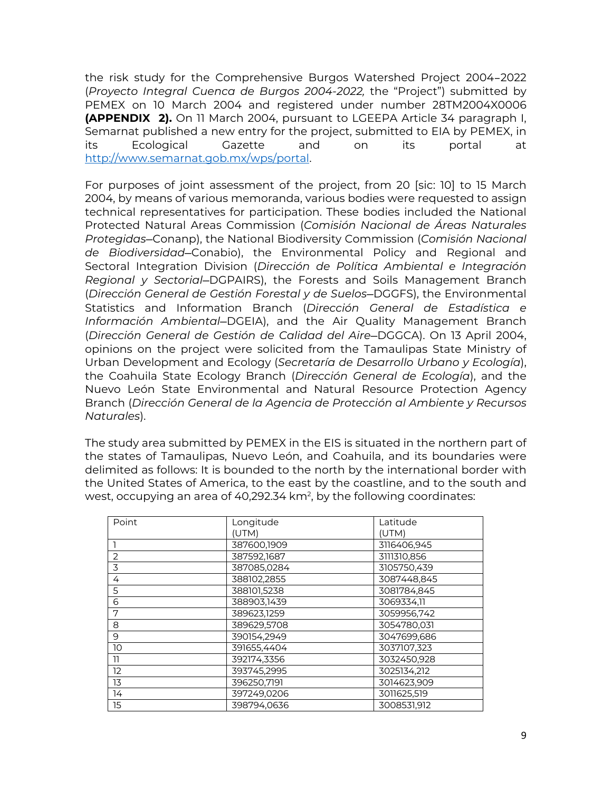the risk study for the Comprehensive Burgos Watershed Project 2004–2022 (*Proyecto Integral Cuenca de Burgos 2004-2022,* the "Project") submitted by PEMEX on 10 March 2004 and registered under number 28TM2004X0006 **(APPENDIX 2).** On 11 March 2004, pursuant to LGEEPA Article 34 paragraph I, Semarnat published a new entry for the project, submitted to EIA by PEMEX, in its Ecological Gazette and on its portal at [http://www.semarnat.gob.mx/wps/portal.](http://www.semarnat.gob.mx/wps/portal)

For purposes of joint assessment of the project, from 20 [sic: 10] to 15 March 2004, by means of various memoranda, various bodies were requested to assign technical representatives for participation. These bodies included the National Protected Natural Areas Commission (*Comisión Nacional de Áreas Naturales Protegidas—*Conanp), the National Biodiversity Commission (*Comisión Nacional de Biodiversidad—*Conabio), the Environmental Policy and Regional and Sectoral Integration Division (*Dirección de Política Ambiental e Integración Regional y Sectorial*—DGPAIRS), the Forests and Soils Management Branch (*Dirección General de Gestión Forestal y de Suelos*—DGGFS), the Environmental Statistics and Information Branch (*Dirección General de Estadística e Información Ambiental—*DGEIA), and the Air Quality Management Branch (*Dirección General de Gestión de Calidad del Aire*—DGGCA). On 13 April 2004, opinions on the project were solicited from the Tamaulipas State Ministry of Urban Development and Ecology (*Secretaría de Desarrollo Urbano y Ecología*), the Coahuila State Ecology Branch (*Dirección General de Ecología*), and the Nuevo León State Environmental and Natural Resource Protection Agency Branch (*Dirección General de la Agencia de Protección al Ambiente y Recursos Naturales*).

The study area submitted by PEMEX in the EIS is situated in the northern part of the states of Tamaulipas, Nuevo León, and Coahuila, and its boundaries were delimited as follows: It is bounded to the north by the international border with the United States of America, to the east by the coastline, and to the south and west, occupying an area of 40,292.34 km², by the following coordinates:

| Point          | Longitude   | Latitude    |
|----------------|-------------|-------------|
|                | (UTM)       | (UTM)       |
|                | 387600,1909 | 3116406,945 |
| $\overline{2}$ | 387592.1687 | 3111310,856 |
| 3              | 387085,0284 | 3105750.439 |
| 4              | 388102,2855 | 3087448,845 |
| 5              | 388101,5238 | 3081784.845 |
| 6              | 388903.1439 | 3069334.11  |
| 7              | 389623,1259 | 3059956,742 |
| 8              | 389629,5708 | 3054780,031 |
| 9              | 390154.2949 | 3047699,686 |
| 10             | 391655.4404 | 3037107,323 |
| 11             | 392174,3356 | 3032450,928 |
| 12             | 393745,2995 | 3025134.212 |
| 13             | 396250,7191 | 3014623,909 |
| 14             | 397249,0206 | 3011625,519 |
| 15             | 398794,0636 | 3008531.912 |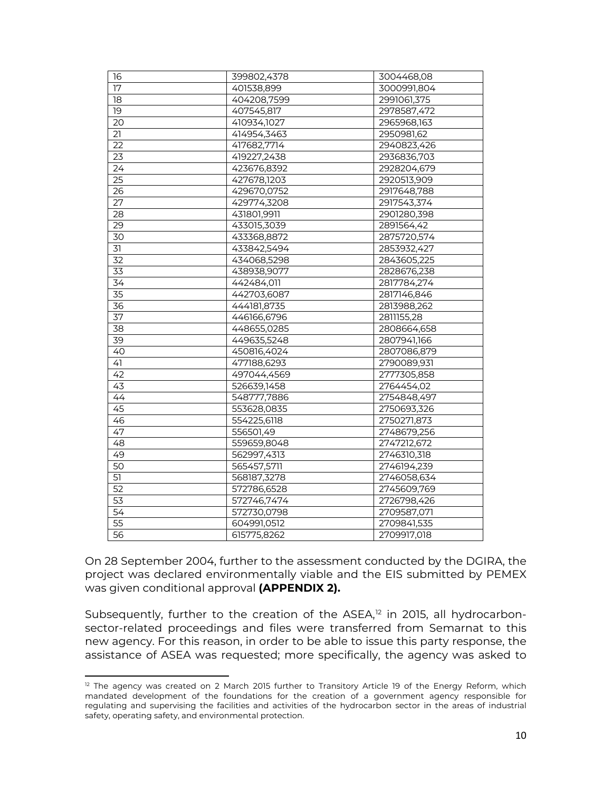| 16              | 399802,4378 | 3004468,08  |
|-----------------|-------------|-------------|
| 17              | 401538,899  | 3000991,804 |
| 18              | 404208,7599 | 2991061,375 |
| 19              | 407545,817  | 2978587,472 |
| 20              | 410934,1027 | 2965968,163 |
| $\overline{21}$ | 414954,3463 | 2950981,62  |
| 22              | 417682,7714 | 2940823,426 |
| 23              | 419227,2438 | 2936836,703 |
| 24              | 423676,8392 | 2928204,679 |
| $\overline{25}$ | 427678,1203 | 2920513,909 |
| 26              | 429670,0752 | 2917648,788 |
| 27              | 429774,3208 | 2917543,374 |
| $\overline{28}$ | 431801,9911 | 2901280,398 |
| 29              | 433015,3039 | 2891564,42  |
| 30              | 433368,8872 | 2875720,574 |
| $\overline{31}$ | 433842,5494 | 2853932,427 |
| 32              | 434068,5298 | 2843605,225 |
| 33              | 438938,9077 | 2828676,238 |
| $\overline{34}$ | 442484,011  | 2817784,274 |
| $\overline{35}$ | 442703,6087 | 2817146,846 |
| 36              | 444181,8735 | 2813988,262 |
| $\overline{37}$ | 446166,6796 | 2811155,28  |
| $\overline{38}$ | 448655,0285 | 2808664,658 |
| 39              | 449635,5248 | 2807941,166 |
| 40              | 450816,4024 | 2807086,879 |
| $\overline{4}$  | 477188,6293 | 2790089,931 |
| 42              | 497044,4569 | 2777305,858 |
| 43              | 526639,1458 | 2764454,02  |
| 44              | 548777,7886 | 2754848,497 |
| 45              | 553628,0835 | 2750693,326 |
| 46              | 554225,6118 | 2750271,873 |
| 47              | 556501,49   | 2748679,256 |
| 48              | 559659,8048 | 2747212,672 |
| 49              | 562997,4313 | 2746310,318 |
| 50              | 565457,5711 | 2746194,239 |
| 51              | 568187,3278 | 2746058,634 |
| $\overline{52}$ | 572786,6528 | 2745609,769 |
| 53              | 572746,7474 | 2726798,426 |
| 54              | 572730,0798 | 2709587,071 |
| 55              | 604991,0512 | 2709841,535 |
| 56              | 615775,8262 | 2709917,018 |

On 28 September 2004, further to the assessment conducted by the DGIRA, the project was declared environmentally viable and the EIS submitted by PEMEX was given conditional approval **(APPENDIX 2).**

Subsequently, further to the creation of the ASEA,<sup>[12](#page-9-0)</sup> in 2015, all hydrocarbonsector-related proceedings and files were transferred from Semarnat to this new agency. For this reason, in order to be able to issue this party response, the assistance of ASEA was requested; more specifically, the agency was asked to

<span id="page-9-0"></span><sup>&</sup>lt;sup>12</sup> The agency was created on 2 March 2015 further to Transitory Article 19 of the Energy Reform, which mandated development of the foundations for the creation of a government agency responsible for regulating and supervising the facilities and activities of the hydrocarbon sector in the areas of industrial safety, operating safety, and environmental protection.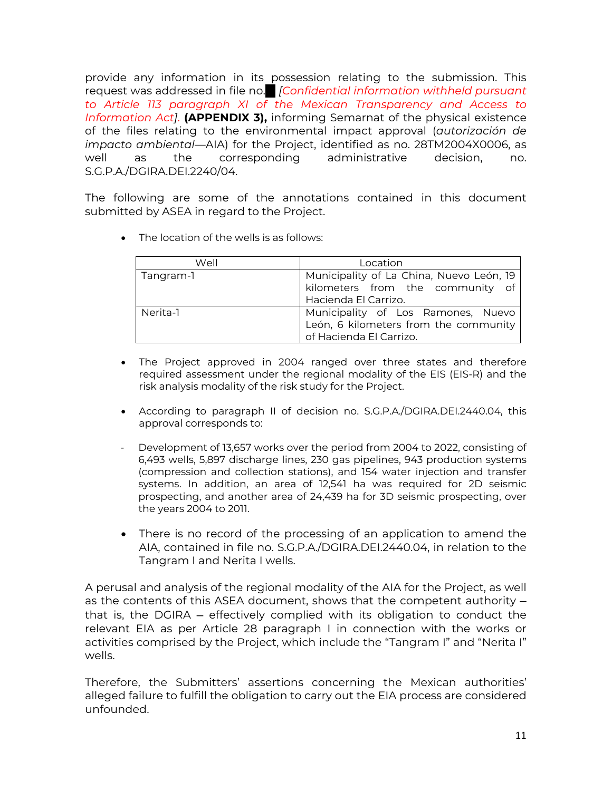provide any information in its possession relating to the submission. This request was addressed in file no. *... [Confidential information withheld pursuant to Article 113 paragraph XI of the Mexican Transparency and Access to Information Act]*. **(APPENDIX 3),** informing Semarnat of the physical existence of the files relating to the environmental impact approval (*autorización de impacto ambiental*—AIA) for the Project, identified as no. 28TM2004X0006, as well as the corresponding administrative decision, no. S.G.P.A./DGIRA.DEI.2240/04.

The following are some of the annotations contained in this document submitted by ASEA in regard to the Project.

• The location of the wells is as follows:

| Well      | Location                                                                                               |  |
|-----------|--------------------------------------------------------------------------------------------------------|--|
| Tangram-1 | Municipality of La China, Nuevo León, 19<br>kilometers from the community of<br>Hacienda El Carrizo.   |  |
| Nerita-1  | Municipality of Los Ramones, Nuevo<br>León, 6 kilometers from the community<br>of Hacienda El Carrizo. |  |

- The Project approved in 2004 ranged over three states and therefore required assessment under the regional modality of the EIS (EIS-R) and the risk analysis modality of the risk study for the Project.
- According to paragraph II of decision no. S.G.P.A./DGIRA.DEI.2440.04, this approval corresponds to:
- Development of 13,657 works over the period from 2004 to 2022, consisting of 6,493 wells, 5,897 discharge lines, 230 gas pipelines, 943 production systems (compression and collection stations), and 154 water injection and transfer systems. In addition, an area of 12,541 ha was required for 2D seismic prospecting, and another area of 24,439 ha for 3D seismic prospecting, over the years 2004 to 2011.
- There is no record of the processing of an application to amend the AIA, contained in file no. S.G.P.A./DGIRA.DEI.2440.04, in relation to the Tangram I and Nerita I wells.

A perusal and analysis of the regional modality of the AIA for the Project, as well as the contents of this ASEA document, shows that the competent authority that is, the DGIRA — effectively complied with its obligation to conduct the relevant EIA as per Article 28 paragraph I in connection with the works or activities comprised by the Project, which include the "Tangram I" and "Nerita I" wells.

Therefore, the Submitters' assertions concerning the Mexican authorities' alleged failure to fulfill the obligation to carry out the EIA process are considered unfounded.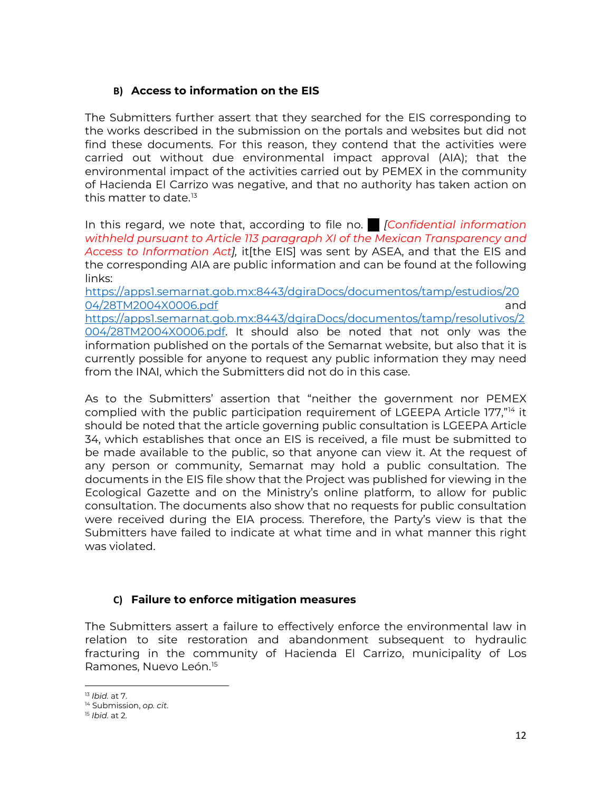# **B) Access to information on the EIS**

The Submitters further assert that they searched for the EIS corresponding to the works described in the submission on the portals and websites but did not find these documents. For this reason, they contend that the activities were carried out without due environmental impact approval (AIA); that the environmental impact of the activities carried out by PEMEX in the community of Hacienda El Carrizo was negative, and that no authority has taken action on this matter to date.<sup>[13](#page-11-0)</sup>

In this regard, we note that, according to file no. *... [Confidential information withheld pursuant to Article 113 paragraph XI of the Mexican Transparency and Access to Information Act],* it[the EIS] was sent by ASEA, and that the EIS and the corresponding AIA are public information and can be found at the following links:

[https://apps1.semarnat.gob.mx:8443/dgiraDocs/documentos/tamp/estudios/20](https://apps1.semarnat.gob.mx:8443/dgiraDocs/documentos/tamp/estudios/2004/28TM2004X0006.pdf) [04/28TM2004X0006.pdf](https://apps1.semarnat.gob.mx:8443/dgiraDocs/documentos/tamp/estudios/2004/28TM2004X0006.pdf) and [https://apps1.semarnat.gob.mx:8443/dgiraDocs/documentos/tamp/resolutivos/2](https://apps1.semarnat.gob.mx:8443/dgiraDocs/documentos/tamp/resolutivos/2004/28TM2004X0006.pdf) [004/28TM2004X0006.pdf.](https://apps1.semarnat.gob.mx:8443/dgiraDocs/documentos/tamp/resolutivos/2004/28TM2004X0006.pdf) It should also be noted that not only was the information published on the portals of the Semarnat website, but also that it is currently possible for anyone to request any public information they may need from the INAI, which the Submitters did not do in this case.

As to the Submitters' assertion that "neither the government nor PEMEX complied with the public participation requirement of LGEEPA Article 177,"<sup>[14](#page-11-1)</sup> it should be noted that the article governing public consultation is LGEEPA Article 34, which establishes that once an EIS is received, a file must be submitted to be made available to the public, so that anyone can view it. At the request of any person or community, Semarnat may hold a public consultation. The documents in the EIS file show that the Project was published for viewing in the Ecological Gazette and on the Ministry's online platform, to allow for public consultation. The documents also show that no requests for public consultation were received during the EIA process. Therefore, the Party's view is that the Submitters have failed to indicate at what time and in what manner this right was violated.

# **C) Failure to enforce mitigation measures**

The Submitters assert a failure to effectively enforce the environmental law in relation to site restoration and abandonment subsequent to hydraulic fracturing in the community of Hacienda El Carrizo, municipality of Los Ramones, Nuevo León.[15](#page-11-2)

<span id="page-11-0"></span><sup>13</sup> *Ibid.* at 7.

<span id="page-11-1"></span><sup>14</sup> Submission, *op. cit*.

<span id="page-11-2"></span><sup>15</sup> *Ibid.* at 2.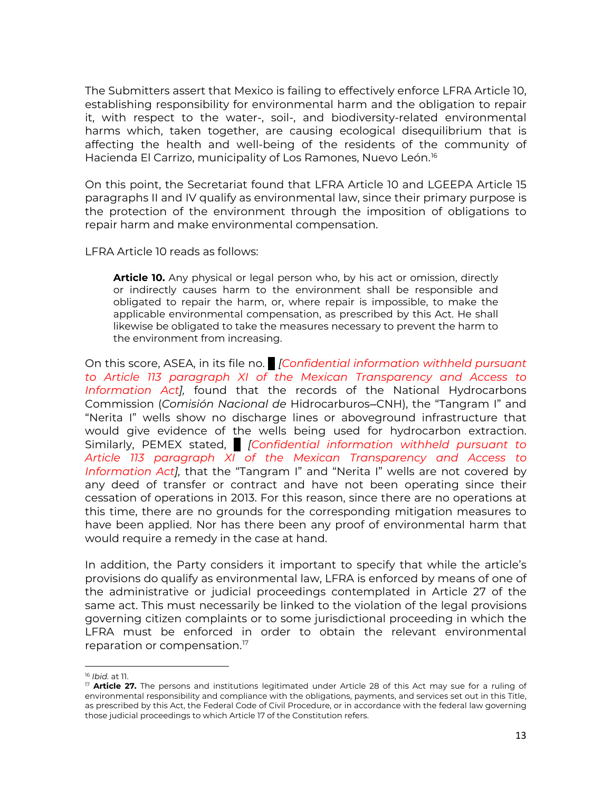The Submitters assert that Mexico is failing to effectively enforce LFRA Article 10, establishing responsibility for environmental harm and the obligation to repair it, with respect to the water-, soil-, and biodiversity-related environmental harms which, taken together, are causing ecological disequilibrium that is affecting the health and well-being of the residents of the community of Hacienda El Carrizo, municipality of Los Ramones, Nuevo León.<sup>[16](#page-12-0)</sup>

On this point, the Secretariat found that LFRA Article 10 and LGEEPA Article 15 paragraphs II and IV qualify as environmental law, since their primary purpose is the protection of the environment through the imposition of obligations to repair harm and make environmental compensation.

LFRA Article 10 reads as follows:

**Article 10.** Any physical or legal person who, by his act or omission, directly or indirectly causes harm to the environment shall be responsible and obligated to repair the harm, or, where repair is impossible, to make the applicable environmental compensation, as prescribed by this Act. He shall likewise be obligated to take the measures necessary to prevent the harm to the environment from increasing.

On this score, ASEA, in its file no. *... [Confidential information withheld pursuant to Article 113 paragraph XI of the Mexican Transparency and Access to Information Act],* found that the records of the National Hydrocarbons Commission (*Comisión Nacional de* Hidrocarburos—CNH), the "Tangram I" and "Nerita I" wells show no discharge lines or aboveground infrastructure that would give evidence of the wells being used for hydrocarbon extraction. Similarly, PEMEX stated, *[ Confidential information withheld pursuant to Article 113 paragraph XI of the Mexican Transparency and Access to Information Act],* that the "Tangram I" and "Nerita I" wells are not covered by any deed of transfer or contract and have not been operating since their cessation of operations in 2013. For this reason, since there are no operations at this time, there are no grounds for the corresponding mitigation measures to have been applied. Nor has there been any proof of environmental harm that would require a remedy in the case at hand.

In addition, the Party considers it important to specify that while the article's provisions do qualify as environmental law, LFRA is enforced by means of one of the administrative or judicial proceedings contemplated in Article 27 of the same act. This must necessarily be linked to the violation of the legal provisions governing citizen complaints or to some jurisdictional proceeding in which the LFRA must be enforced in order to obtain the relevant environmental reparation or compensation.<sup>[17](#page-12-1)</sup>

<span id="page-12-0"></span><sup>16</sup> *Ibid.* at 11.

<span id="page-12-1"></span><sup>17</sup> **Article 27.** The persons and institutions legitimated under Article 28 of this Act may sue for a ruling of environmental responsibility and compliance with the obligations, payments, and services set out in this Title, as prescribed by this Act, the Federal Code of Civil Procedure, or in accordance with the federal law governing those judicial proceedings to which Article 17 of the Constitution refers.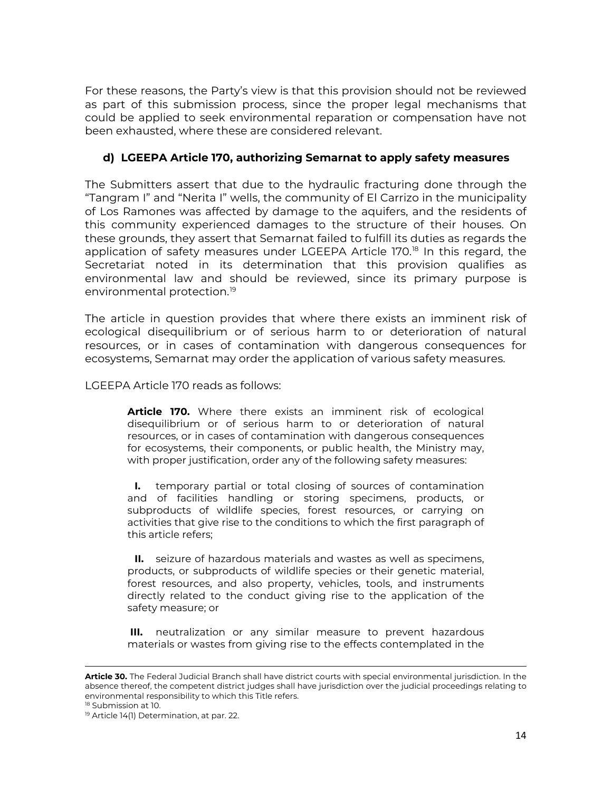For these reasons, the Party's view is that this provision should not be reviewed as part of this submission process, since the proper legal mechanisms that could be applied to seek environmental reparation or compensation have not been exhausted, where these are considered relevant.

# **d) LGEEPA Article 170, authorizing Semarnat to apply safety measures**

The Submitters assert that due to the hydraulic fracturing done through the "Tangram I" and "Nerita I" wells, the community of El Carrizo in the municipality of Los Ramones was affected by damage to the aquifers, and the residents of this community experienced damages to the structure of their houses. On these grounds, they assert that Semarnat failed to fulfill its duties as regards the application of safety measures under LGEEPA Article 170. [18](#page-13-0) In this regard, the Secretariat noted in its determination that this provision qualifies as environmental law and should be reviewed, since its primary purpose is environmental protection. [19](#page-13-1)

The article in question provides that where there exists an imminent risk of ecological disequilibrium or of serious harm to or deterioration of natural resources, or in cases of contamination with dangerous consequences for ecosystems, Semarnat may order the application of various safety measures.

LGEEPA Article 170 reads as follows:

**Article 170.** Where there exists an imminent risk of ecological disequilibrium or of serious harm to or deterioration of natural resources, or in cases of contamination with dangerous consequences for ecosystems, their components, or public health, the Ministry may, with proper justification, order any of the following safety measures:

**I.** temporary partial or total closing of sources of contamination and of facilities handling or storing specimens, products, or subproducts of wildlife species, forest resources, or carrying on activities that give rise to the conditions to which the first paragraph of this article refers;

**II.** seizure of hazardous materials and wastes as well as specimens, products, or subproducts of wildlife species or their genetic material, forest resources, and also property, vehicles, tools, and instruments directly related to the conduct giving rise to the application of the safety measure; or

**III.** neutralization or any similar measure to prevent hazardous materials or wastes from giving rise to the effects contemplated in the

**Article 30.** The Federal Judicial Branch shall have district courts with special environmental jurisdiction. In the absence thereof, the competent district judges shall have jurisdiction over the judicial proceedings relating to environmental responsibility to which this Title refers.

<span id="page-13-0"></span><sup>&</sup>lt;sup>18</sup> Submission at 10.

<span id="page-13-1"></span><sup>&</sup>lt;sup>19</sup> Article 14(1) Determination, at par. 22.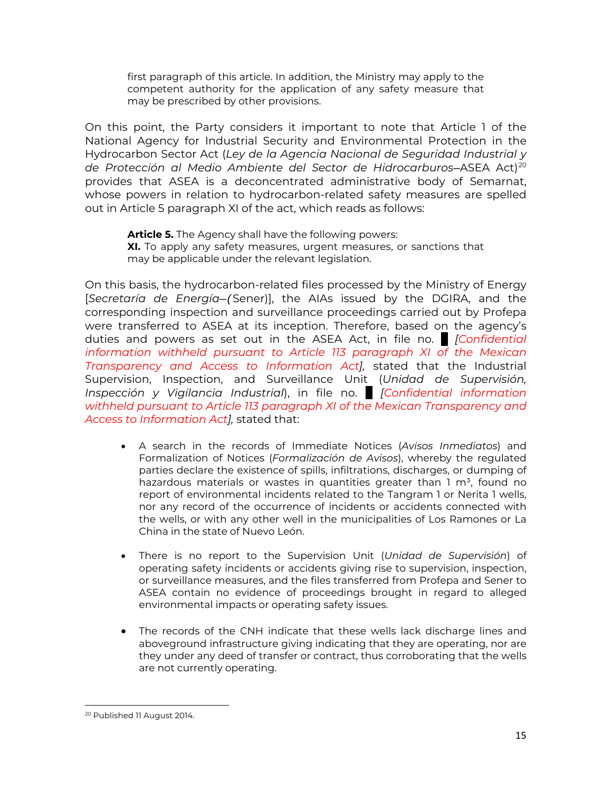first paragraph of this article. In addition, the Ministry may apply to the competent authority for the application of any safety measure that may be prescribed by other provisions.

On this point, the Party considers it important to note that Article 1 of the National Agency for Industrial Security and Environmental Protection in the Hydrocarbon Sector Act (*Ley de la Agencia Nacional de Seguridad Industrial y de Protección al Medio Ambiente del Sector de Hidrocarburos*—ASEA Act)[20](#page-14-0) provides that ASEA is a deconcentrated administrative body of Semarnat, whose powers in relation to hydrocarbon-related safety measures are spelled out in Article 5 paragraph XI of the act, which reads as follows:

**Article 5.** The Agency shall have the following powers: **XI.** To apply any safety measures, urgent measures, or sanctions that may be applicable under the relevant legislation.

On this basis, the hydrocarbon-related files processed by the Ministry of Energy [*Secretaría de Energía—(*Sener)], the AIAs issued by the DGIRA, and the corresponding inspection and surveillance proceedings carried out by Profepa were transferred to ASEA at its inception. Therefore, based on the agency's duties and powers as set out in the ASEA Act, in file no. *... [Confidential information withheld pursuant to Article 113 paragraph XI of the Mexican Transparency and Access to Information Act],* stated that the Industrial Supervision, Inspection, and Surveillance Unit (*Unidad de Supervisión, Inspección y Vigilancia Industrial*), in file no. *... [Confidential information withheld pursuant to Article 113 paragraph XI of the Mexican Transparency and Access to Information Act],* stated that:

- A search in the records of Immediate Notices (*Avisos Inmediatos*) and Formalization of Notices (*Formalización de Avisos*), whereby the regulated parties declare the existence of spills, infiltrations, discharges, or dumping of hazardous materials or wastes in quantities greater than  $1 \text{ m}^3$ , found no report of environmental incidents related to the Tangram 1 or Nerita 1 wells, nor any record of the occurrence of incidents or accidents connected with the wells, or with any other well in the municipalities of Los Ramones or La China in the state of Nuevo León.
- There is no report to the Supervision Unit (*Unidad de Supervisión*) of operating safety incidents or accidents giving rise to supervision, inspection, or surveillance measures, and the files transferred from Profepa and Sener to ASEA contain no evidence of proceedings brought in regard to alleged environmental impacts or operating safety issues.
- The records of the CNH indicate that these wells lack discharge lines and aboveground infrastructure giving indicating that they are operating, nor are they under any deed of transfer or contract, thus corroborating that the wells are not currently operating.

<span id="page-14-0"></span><sup>20</sup> Published 11 August 2014.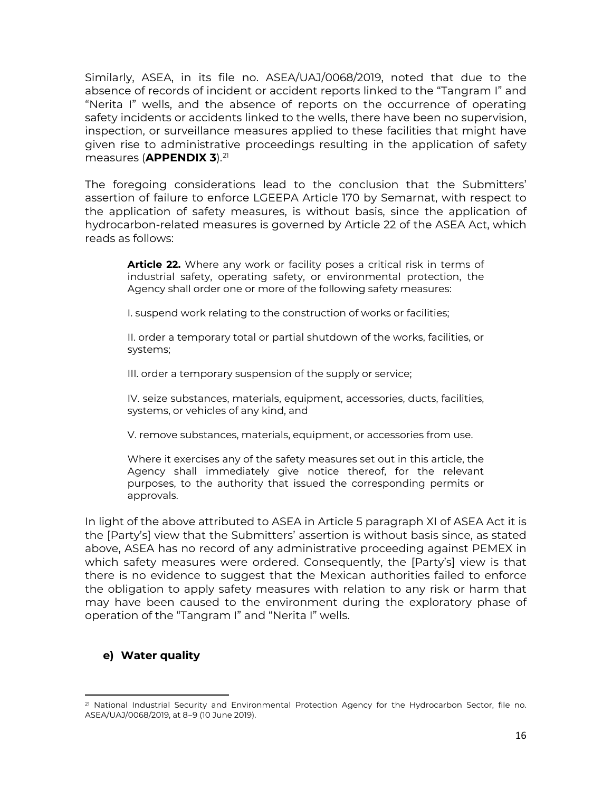Similarly, ASEA, in its file no. ASEA/UAJ/0068/2019, noted that due to the absence of records of incident or accident reports linked to the "Tangram I" and "Nerita I" wells, and the absence of reports on the occurrence of operating safety incidents or accidents linked to the wells, there have been no supervision, inspection, or surveillance measures applied to these facilities that might have given rise to administrative proceedings resulting in the application of safety measures (**APPENDIX 3**). [21](#page-15-0)

The foregoing considerations lead to the conclusion that the Submitters' assertion of failure to enforce LGEEPA Article 170 by Semarnat, with respect to the application of safety measures, is without basis, since the application of hydrocarbon-related measures is governed by Article 22 of the ASEA Act, which reads as follows:

**Article 22.** Where any work or facility poses a critical risk in terms of industrial safety, operating safety, or environmental protection, the Agency shall order one or more of the following safety measures:

I. suspend work relating to the construction of works or facilities;

II. order a temporary total or partial shutdown of the works, facilities, or systems;

III. order a temporary suspension of the supply or service;

IV. seize substances, materials, equipment, accessories, ducts, facilities, systems, or vehicles of any kind, and

V. remove substances, materials, equipment, or accessories from use.

Where it exercises any of the safety measures set out in this article, the Agency shall immediately give notice thereof, for the relevant purposes, to the authority that issued the corresponding permits or approvals.

In light of the above attributed to ASEA in Article 5 paragraph XI of ASEA Act it is the [Party's] view that the Submitters' assertion is without basis since, as stated above, ASEA has no record of any administrative proceeding against PEMEX in which safety measures were ordered. Consequently, the [Party's] view is that there is no evidence to suggest that the Mexican authorities failed to enforce the obligation to apply safety measures with relation to any risk or harm that may have been caused to the environment during the exploratory phase of operation of the "Tangram I" and "Nerita I" wells.

# **e) Water quality**

<span id="page-15-0"></span><sup>&</sup>lt;sup>21</sup> National Industrial Security and Environmental Protection Agency for the Hydrocarbon Sector, file no. ASEA/UAJ/0068/2019, at 8–9 (10 June 2019).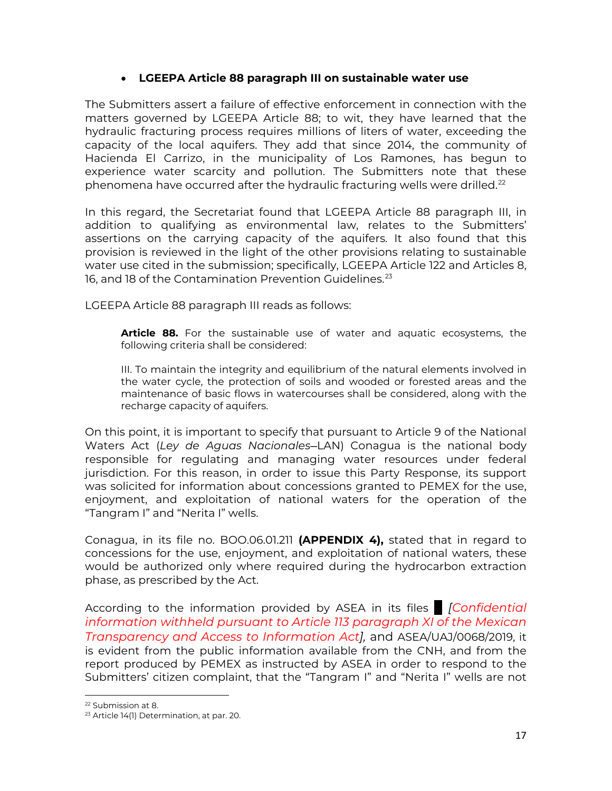# • **LGEEPA Article 88 paragraph III on sustainable water use**

The Submitters assert a failure of effective enforcement in connection with the matters governed by LGEEPA Article 88; to wit, they have learned that the hydraulic fracturing process requires millions of liters of water, exceeding the capacity of the local aquifers. They add that since 2014, the community of Hacienda El Carrizo, in the municipality of Los Ramones, has begun to experience water scarcity and pollution. The Submitters note that these phenomena have occurred after the hydraulic fracturing wells were drilled.<sup>[22](#page-16-0)</sup>

In this regard, the Secretariat found that LGEEPA Article 88 paragraph III, in addition to qualifying as environmental law, relates to the Submitters' assertions on the carrying capacity of the aquifers. It also found that this provision is reviewed in the light of the other provisions relating to sustainable water use cited in the submission; specifically, LGEEPA Article 122 and Articles 8, 16, and 18 of the Contamination Prevention Guidelines. [23](#page-16-1)

LGEEPA Article 88 paragraph III reads as follows:

**Article 88.** For the sustainable use of water and aquatic ecosystems, the following criteria shall be considered:

III. To maintain the integrity and equilibrium of the natural elements involved in the water cycle, the protection of soils and wooded or forested areas and the maintenance of basic flows in watercourses shall be considered, along with the recharge capacity of aquifers.

On this point, it is important to specify that pursuant to Article 9 of the National Waters Act (*Ley de Aguas Nacionales—*LAN) Conagua is the national body responsible for regulating and managing water resources under federal jurisdiction. For this reason, in order to issue this Party Response, its support was solicited for information about concessions granted to PEMEX for the use, enjoyment, and exploitation of national waters for the operation of the "Tangram I" and "Nerita I" wells.

Conagua, in its file no. BOO.06.01.211 **(APPENDIX 4),** stated that in regard to concessions for the use, enjoyment, and exploitation of national waters, these would be authorized only where required during the hydrocarbon extraction phase, as prescribed by the Act.

According to the information provided by ASEA in its files *... [Confidential information withheld pursuant to Article 113 paragraph XI of the Mexican Transparency and Access to Information Act],* and ASEA/UAJ/0068/2019, it is evident from the public information available from the CNH, and from the report produced by PEMEX as instructed by ASEA in order to respond to the Submitters' citizen complaint, that the "Tangram I" and "Nerita I" wells are not

<sup>22</sup> Submission at 8.

<span id="page-16-1"></span><span id="page-16-0"></span><sup>23</sup> Article 14(1) Determination, at par. 20.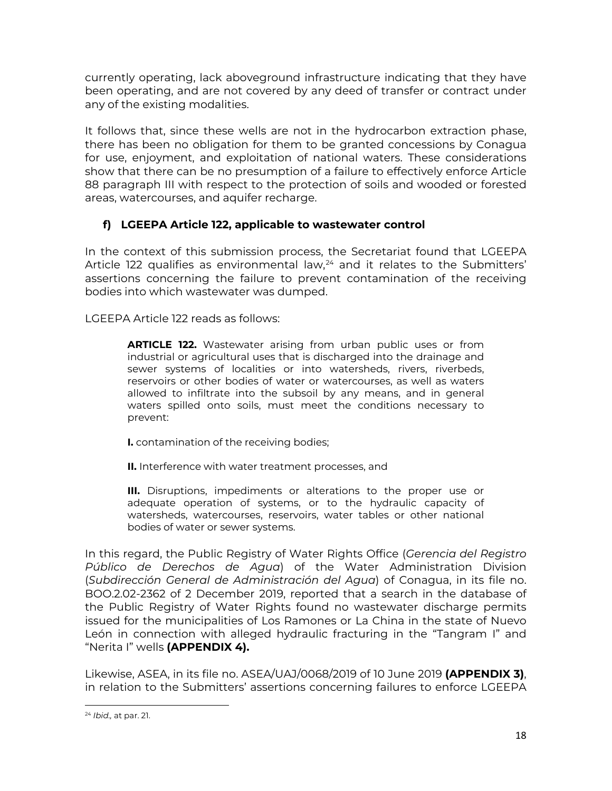currently operating, lack aboveground infrastructure indicating that they have been operating, and are not covered by any deed of transfer or contract under any of the existing modalities.

It follows that, since these wells are not in the hydrocarbon extraction phase, there has been no obligation for them to be granted concessions by Conagua for use, enjoyment, and exploitation of national waters. These considerations show that there can be no presumption of a failure to effectively enforce Article 88 paragraph III with respect to the protection of soils and wooded or forested areas, watercourses, and aquifer recharge.

# **f) LGEEPA Article 122, applicable to wastewater control**

In the context of this submission process, the Secretariat found that LGEEPA Article 122 qualifies as environmental law, [24](#page-17-0) and it relates to the Submitters' assertions concerning the failure to prevent contamination of the receiving bodies into which wastewater was dumped.

LGEEPA Article 122 reads as follows:

**ARTICLE 122.** Wastewater arising from urban public uses or from industrial or agricultural uses that is discharged into the drainage and sewer systems of localities or into watersheds, rivers, riverbeds, reservoirs or other bodies of water or watercourses, as well as waters allowed to infiltrate into the subsoil by any means, and in general waters spilled onto soils, must meet the conditions necessary to prevent:

- **I.** contamination of the receiving bodies;
- **II.** Interference with water treatment processes, and

**III.** Disruptions, impediments or alterations to the proper use or adequate operation of systems, or to the hydraulic capacity of watersheds, watercourses, reservoirs, water tables or other national bodies of water or sewer systems.

In this regard, the Public Registry of Water Rights Office (*Gerencia del Registro Público de Derechos de Agua*) of the Water Administration Division (*Subdirección General de Administración del Agua*) of Conagua, in its file no. BOO.2.02-2362 of 2 December 2019, reported that a search in the database of the Public Registry of Water Rights found no wastewater discharge permits issued for the municipalities of Los Ramones or La China in the state of Nuevo León in connection with alleged hydraulic fracturing in the "Tangram I" and "Nerita I" wells **(APPENDIX 4).**

Likewise, ASEA, in its file no. ASEA/UAJ/0068/2019 of 10 June 2019 **(APPENDIX 3)**, in relation to the Submitters' assertions concerning failures to enforce LGEEPA

<span id="page-17-0"></span><sup>24</sup> *Ibid.,* at par. 21.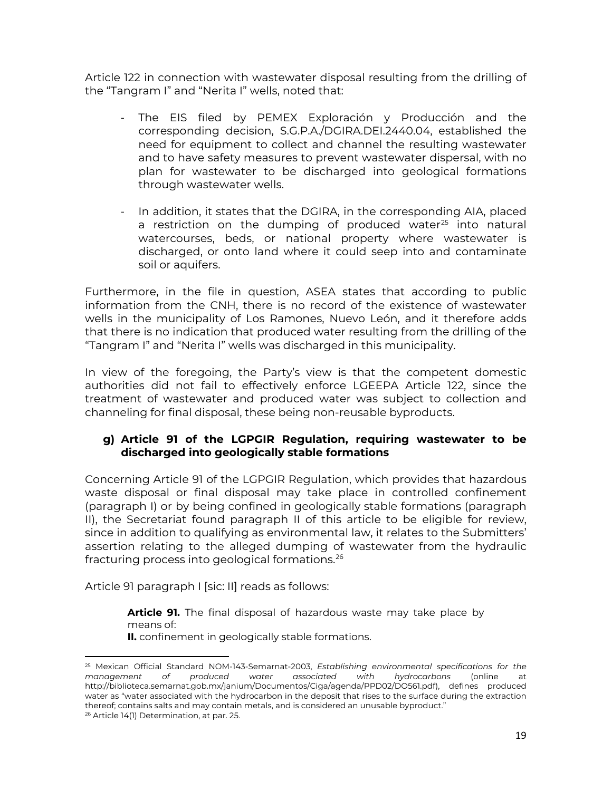Article 122 in connection with wastewater disposal resulting from the drilling of the "Tangram I" and "Nerita I" wells, noted that:

- The EIS filed by PEMEX Exploración y Producción and the corresponding decision, S.G.P.A./DGIRA.DEI.2440.04, established the need for equipment to collect and channel the resulting wastewater and to have safety measures to prevent wastewater dispersal, with no plan for wastewater to be discharged into geological formations through wastewater wells.
- In addition, it states that the DGIRA, in the corresponding AIA, placed a restriction on the dumping of produced water<sup>[25](#page-18-0)</sup> into natural watercourses, beds, or national property where wastewater is discharged, or onto land where it could seep into and contaminate soil or aquifers.

Furthermore, in the file in question, ASEA states that according to public information from the CNH, there is no record of the existence of wastewater wells in the municipality of Los Ramones, Nuevo León, and it therefore adds that there is no indication that produced water resulting from the drilling of the "Tangram I" and "Nerita I" wells was discharged in this municipality.

In view of the foregoing, the Party's view is that the competent domestic authorities did not fail to effectively enforce LGEEPA Article 122, since the treatment of wastewater and produced water was subject to collection and channeling for final disposal, these being non-reusable byproducts.

# **g) Article 91 of the LGPGIR Regulation, requiring wastewater to be discharged into geologically stable formations**

Concerning Article 91 of the LGPGIR Regulation, which provides that hazardous waste disposal or final disposal may take place in controlled confinement (paragraph I) or by being confined in geologically stable formations (paragraph II), the Secretariat found paragraph II of this article to be eligible for review, since in addition to qualifying as environmental law, it relates to the Submitters' assertion relating to the alleged dumping of wastewater from the hydraulic fracturing process into geological formations.[26](#page-18-1)

Article 91 paragraph I [sic: II] reads as follows:

**Article 91.** The final disposal of hazardous waste may take place by means of:

**II.** confinement in geologically stable formations.

<span id="page-18-1"></span><span id="page-18-0"></span><sup>25</sup> Mexican Official Standard NOM-143-Semarnat-2003, *Establishing environmental specifications for the management of produced water associated with hydrocarbons* (online at http://biblioteca.semarnat.gob.mx/janium/Documentos/Ciga/agenda/PPD02/DO561.pdf), defines produced water as "water associated with the hydrocarbon in the deposit that rises to the surface during the extraction thereof; contains salts and may contain metals, and is considered an unusable byproduct." <sup>26</sup> Article 14(1) Determination, at par. 25.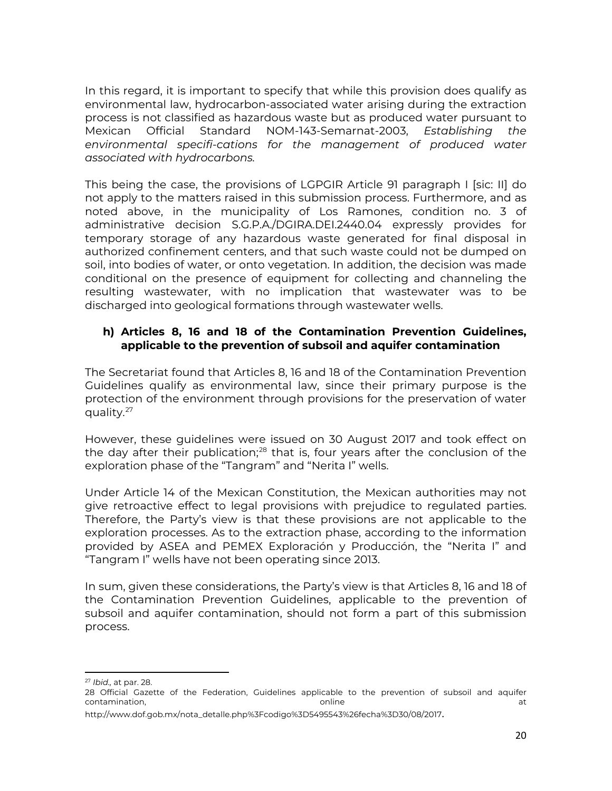In this regard, it is important to specify that while this provision does qualify as environmental law, hydrocarbon-associated water arising during the extraction process is not classified as hazardous waste but as produced water pursuant to Mexican Official Standard NOM-143-Semarnat-2003, *Establishing the environmental specifi-cations for the management of produced water associated with hydrocarbons.*

This being the case, the provisions of LGPGIR Article 91 paragraph I [sic: II] do not apply to the matters raised in this submission process. Furthermore, and as noted above, in the municipality of Los Ramones, condition no. 3 of administrative decision S.G.P.A./DGIRA.DEI.2440.04 expressly provides for temporary storage of any hazardous waste generated for final disposal in authorized confinement centers, and that such waste could not be dumped on soil, into bodies of water, or onto vegetation. In addition, the decision was made conditional on the presence of equipment for collecting and channeling the resulting wastewater, with no implication that wastewater was to be discharged into geological formations through wastewater wells.

# **h) Articles 8, 16 and 18 of the Contamination Prevention Guidelines, applicable to the prevention of subsoil and aquifer contamination**

The Secretariat found that Articles 8, 16 and 18 of the Contamination Prevention Guidelines qualify as environmental law, since their primary purpose is the protection of the environment through provisions for the preservation of water quality.<sup>[27](#page-19-0)</sup>

However, these guidelines were issued on 30 August 2017 and took effect on the day after their publication;<sup>[28](#page-19-1)</sup> that is, four years after the conclusion of the exploration phase of the "Tangram" and "Nerita I" wells.

Under Article 14 of the Mexican Constitution, the Mexican authorities may not give retroactive effect to legal provisions with prejudice to regulated parties. Therefore, the Party's view is that these provisions are not applicable to the exploration processes. As to the extraction phase, according to the information provided by ASEA and PEMEX Exploración y Producción, the "Nerita I" and "Tangram I" wells have not been operating since 2013.

In sum, given these considerations, the Party's view is that Articles 8, 16 and 18 of the Contamination Prevention Guidelines, applicable to the prevention of subsoil and aquifer contamination, should not form a part of this submission process.

<span id="page-19-0"></span><sup>27</sup> *Ibid.,* at par. 28.

<span id="page-19-1"></span><sup>28</sup> Official Gazette of the Federation, Guidelines applicable to the prevention of subsoil and aquifer contamination, and the contamination, and the contamination, at the contamination, at the contamination, at the contamination, at the contamination, at the contamination, at the contamination, at the contamination, at the

[http://www.dof.gob.mx/nota\\_detalle.php%3Fcodigo%3D5495543%26fecha%3D30/08/2017](http://www.dof.gob.mx/nota_detalle.php%3Fcodigo%3D5495543%26fecha%3D30/08/2017).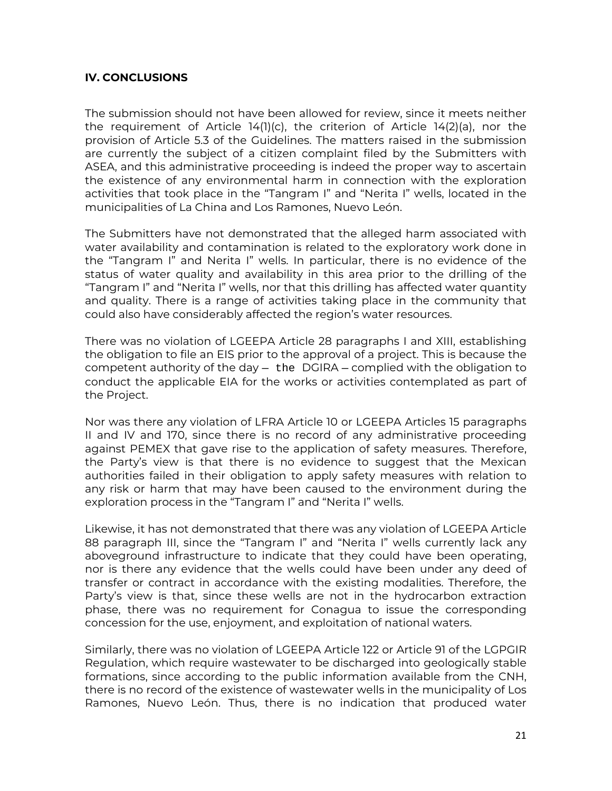### **IV. CONCLUSIONS**

The submission should not have been allowed for review, since it meets neither the requirement of Article 14(1)(c), the criterion of Article 14(2)(a), nor the provision of Article 5.3 of the Guidelines. The matters raised in the submission are currently the subject of a citizen complaint filed by the Submitters with ASEA, and this administrative proceeding is indeed the proper way to ascertain the existence of any environmental harm in connection with the exploration activities that took place in the "Tangram I" and "Nerita I" wells, located in the municipalities of La China and Los Ramones, Nuevo León.

The Submitters have not demonstrated that the alleged harm associated with water availability and contamination is related to the exploratory work done in the "Tangram I" and Nerita I" wells. In particular, there is no evidence of the status of water quality and availability in this area prior to the drilling of the "Tangram I" and "Nerita I" wells, nor that this drilling has affected water quantity and quality. There is a range of activities taking place in the community that could also have considerably affected the region's water resources.

There was no violation of LGEEPA Article 28 paragraphs I and XIII, establishing the obligation to file an EIS prior to the approval of a project. This is because the competent authority of the day — the DGIRA — complied with the obligation to conduct the applicable EIA for the works or activities contemplated as part of the Project.

Nor was there any violation of LFRA Article 10 or LGEEPA Articles 15 paragraphs II and IV and 170, since there is no record of any administrative proceeding against PEMEX that gave rise to the application of safety measures. Therefore, the Party's view is that there is no evidence to suggest that the Mexican authorities failed in their obligation to apply safety measures with relation to any risk or harm that may have been caused to the environment during the exploration process in the "Tangram I" and "Nerita I" wells.

Likewise, it has not demonstrated that there was any violation of LGEEPA Article 88 paragraph III, since the "Tangram I" and "Nerita I" wells currently lack any aboveground infrastructure to indicate that they could have been operating, nor is there any evidence that the wells could have been under any deed of transfer or contract in accordance with the existing modalities. Therefore, the Party's view is that, since these wells are not in the hydrocarbon extraction phase, there was no requirement for Conagua to issue the corresponding concession for the use, enjoyment, and exploitation of national waters.

Similarly, there was no violation of LGEEPA Article 122 or Article 91 of the LGPGIR Regulation, which require wastewater to be discharged into geologically stable formations, since according to the public information available from the CNH, there is no record of the existence of wastewater wells in the municipality of Los Ramones, Nuevo León. Thus, there is no indication that produced water